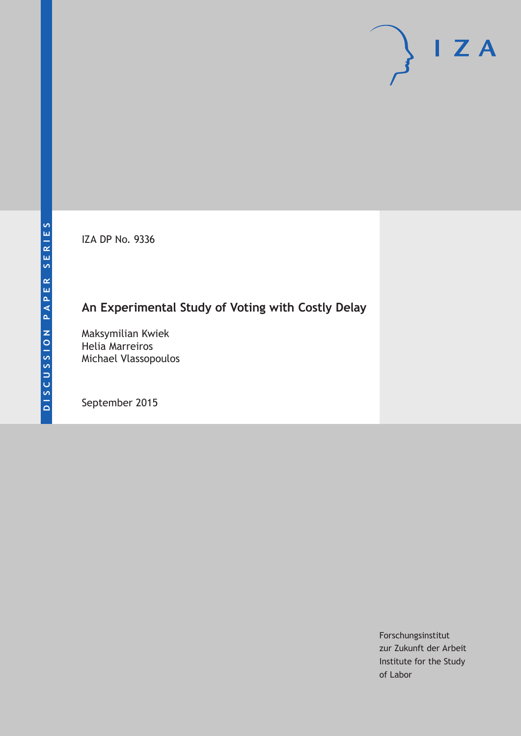IZA DP No. 9336

# **An Experimental Study of Voting with Costly Delay**

Maksymilian Kwiek Helia Marreiros Michael Vlassopoulos

September 2015

Forschungsinstitut zur Zukunft der Arbeit Institute for the Study of Labor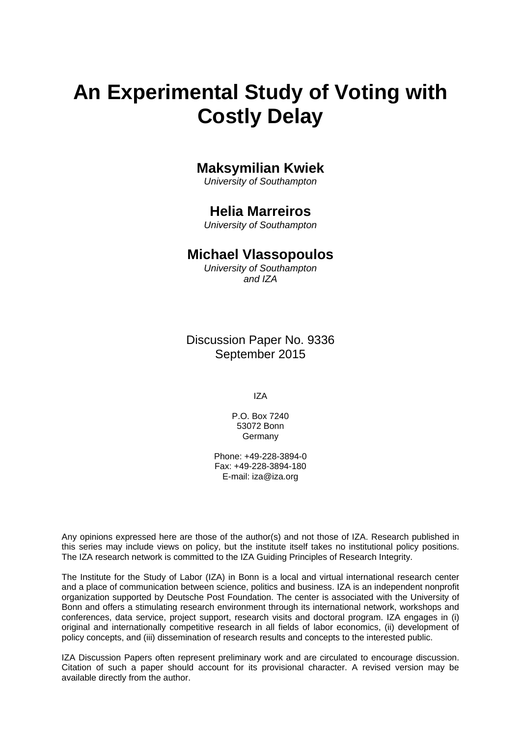# **An Experimental Study of Voting with Costly Delay**

## **Maksymilian Kwiek**

*University of Southampton* 

## **Helia Marreiros**

*University of Southampton* 

### **Michael Vlassopoulos**

*University of Southampton and IZA*

Discussion Paper No. 9336 September 2015

IZA

P.O. Box 7240 53072 Bonn Germany

Phone: +49-228-3894-0 Fax: +49-228-3894-180 E-mail: iza@iza.org

Any opinions expressed here are those of the author(s) and not those of IZA. Research published in this series may include views on policy, but the institute itself takes no institutional policy positions. The IZA research network is committed to the IZA Guiding Principles of Research Integrity.

The Institute for the Study of Labor (IZA) in Bonn is a local and virtual international research center and a place of communication between science, politics and business. IZA is an independent nonprofit organization supported by Deutsche Post Foundation. The center is associated with the University of Bonn and offers a stimulating research environment through its international network, workshops and conferences, data service, project support, research visits and doctoral program. IZA engages in (i) original and internationally competitive research in all fields of labor economics, (ii) development of policy concepts, and (iii) dissemination of research results and concepts to the interested public.

IZA Discussion Papers often represent preliminary work and are circulated to encourage discussion. Citation of such a paper should account for its provisional character. A revised version may be available directly from the author.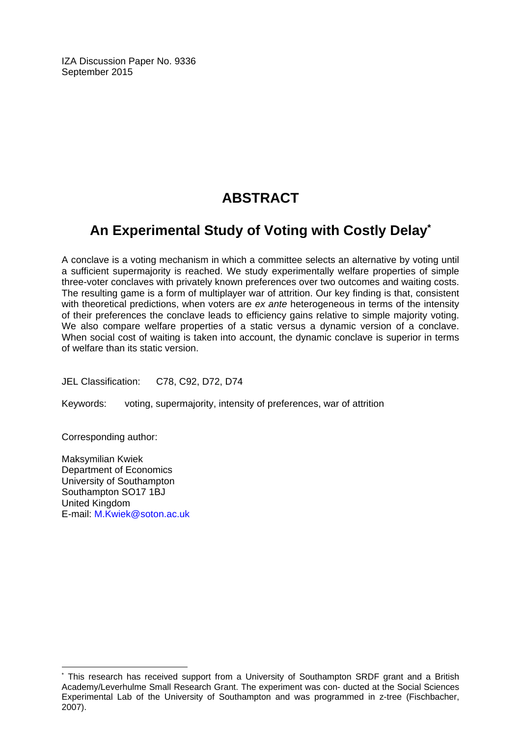IZA Discussion Paper No. 9336 September 2015

# **ABSTRACT**

# **An Experimental Study of Voting with Costly Delay\***

A conclave is a voting mechanism in which a committee selects an alternative by voting until a sufficient supermajority is reached. We study experimentally welfare properties of simple three-voter conclaves with privately known preferences over two outcomes and waiting costs. The resulting game is a form of multiplayer war of attrition. Our key finding is that, consistent with theoretical predictions, when voters are *ex ante* heterogeneous in terms of the intensity of their preferences the conclave leads to efficiency gains relative to simple majority voting. We also compare welfare properties of a static versus a dynamic version of a conclave. When social cost of waiting is taken into account, the dynamic conclave is superior in terms of welfare than its static version.

JEL Classification: C78, C92, D72, D74

Keywords: voting, supermajority, intensity of preferences, war of attrition

Corresponding author:

 $\overline{a}$ 

Maksymilian Kwiek Department of Economics University of Southampton Southampton SO17 1BJ United Kingdom E-mail: M.Kwiek@soton.ac.uk

<sup>\*</sup> This research has received support from a University of Southampton SRDF grant and a British Academy/Leverhulme Small Research Grant. The experiment was con- ducted at the Social Sciences Experimental Lab of the University of Southampton and was programmed in z-tree (Fischbacher, 2007).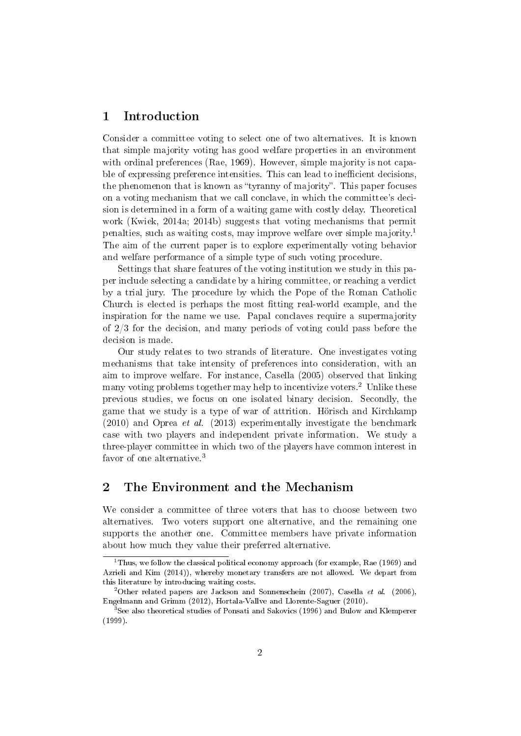#### 1 Introduction

Consider a committee voting to select one of two alternatives. It is known that simple majority voting has good welfare properties in an environment with ordinal preferences (Rae, 1969). However, simple majority is not capable of expressing preference intensities. This can lead to inefficient decisions. the phenomenon that is known as "tyranny of majority". This paper focuses on a voting mechanism that we call conclave, in which the committee's decision is determined in a form of a waiting game with costly delay. Theoretical work (Kwiek, 2014a; 2014b) suggests that voting mechanisms that permit penalties, such as waiting costs, may improve welfare over simple majority.<sup>1</sup> The aim of the current paper is to explore experimentally voting behavior and welfare performance of a simple type of such voting procedure.

Settings that share features of the voting institution we study in this paper include selecting a candidate by a hiring committee, or reaching a verdict by a trial jury. The procedure by which the Pope of the Roman Catholic Church is elected is perhaps the most tting real-world example, and the inspiration for the name we use. Papal conclaves require a supermajority of 2/3 for the decision, and many periods of voting could pass before the decision is made.

Our study relates to two strands of literature. One investigates voting mechanisms that take intensity of preferences into consideration, with an aim to improve welfare. For instance, Casella (2005) observed that linking many voting problems together may help to incentivize voters.<sup>2</sup> Unlike these previous studies, we focus on one isolated binary decision. Secondly, the game that we study is a type of war of attrition. Hörisch and Kirchkamp  $(2010)$  and Oprea *et al.*  $(2013)$  experimentally investigate the benchmark case with two players and independent private information. We study a three-player committee in which two of the players have common interest in favor of one alternative.<sup>3</sup>

#### 2 The Environment and the Mechanism

We consider a committee of three voters that has to choose between two alternatives. Two voters support one alternative, and the remaining one supports the another one. Committee members have private information about how much they value their preferred alternative.

 $1$ Thus, we follow the classical political economy approach (for example, Rae (1969) and Azrieli and Kim (2014)), whereby monetary transfers are not allowed. We depart from this literature by introducing waiting costs.

<sup>&</sup>lt;sup>2</sup>Other related papers are Jackson and Sonnenschein (2007), Casella *et al.* (2006), Engelmann and Grimm (2012), Hortala-Vallve and Llorente-Saguer (2010).

 $3$ See also theoretical studies of Ponsati and Sakovics (1996) and Bulow and Klemperer (1999).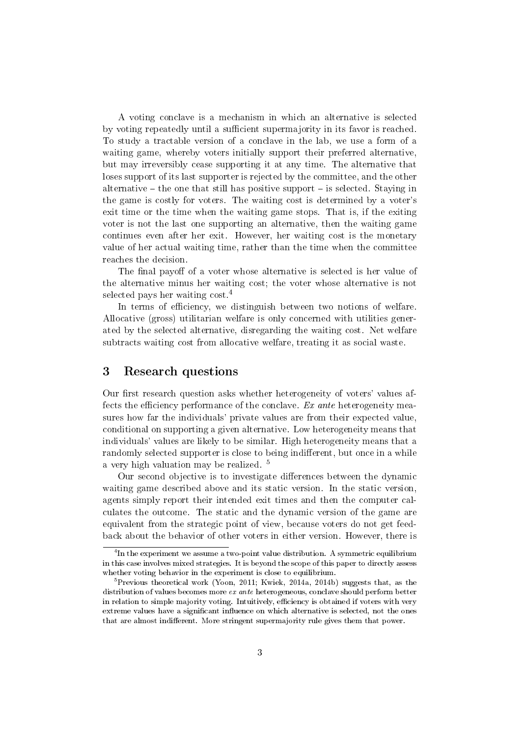A voting conclave is a mechanism in which an alternative is selected by voting repeatedly until a sufficient supermajority in its favor is reached. To study a tractable version of a conclave in the lab, we use a form of a waiting game, whereby voters initially support their preferred alternative, but may irreversibly cease supporting it at any time. The alternative that loses support of its last supporter is rejected by the committee, and the other alternative  $-$  the one that still has positive support  $-$  is selected. Staying in the game is costly for voters. The waiting cost is determined by a voter's exit time or the time when the waiting game stops. That is, if the exiting voter is not the last one supporting an alternative, then the waiting game continues even after her exit. However, her waiting cost is the monetary value of her actual waiting time, rather than the time when the committee reaches the decision.

The final payoff of a voter whose alternative is selected is her value of the alternative minus her waiting cost; the voter whose alternative is not selected pays her waiting cost.<sup>4</sup>

In terms of efficiency, we distinguish between two notions of welfare. Allocative (gross) utilitarian welfare is only concerned with utilities generated by the selected alternative, disregarding the waiting cost. Net welfare subtracts waiting cost from allocative welfare, treating it as social waste.

#### 3 Research questions

Our first research question asks whether heterogeneity of voters' values affects the efficiency performance of the conclave.  $Ex$  ante heterogeneity measures how far the individuals' private values are from their expected value, conditional on supporting a given alternative. Low heterogeneity means that individuals' values are likely to be similar. High heterogeneity means that a randomly selected supporter is close to being indifferent, but once in a while a very high valuation may be realized. <sup>5</sup>

Our second objective is to investigate differences between the dynamic waiting game described above and its static version. In the static version, agents simply report their intended exit times and then the computer calculates the outcome. The static and the dynamic version of the game are equivalent from the strategic point of view, because voters do not get feedback about the behavior of other voters in either version. However, there is

 ${}^{4}$ In the experiment we assume a two-point value distribution. A symmetric equilibrium in this case involves mixed strategies. It is beyond the scope of this paper to directly assess whether voting behavior in the experiment is close to equilibrium.

 $^5$ Previous theoretical work (Yoon, 2011; Kwiek, 2014a, 2014b) suggests that, as the distribution of values becomes more ex ante heterogeneous, conclave should perform better in relation to simple majority voting. Intuitively, efficiency is obtained if voters with very extreme values have a significant influence on which alternative is selected, not the ones that are almost indifferent. More stringent supermajority rule gives them that power.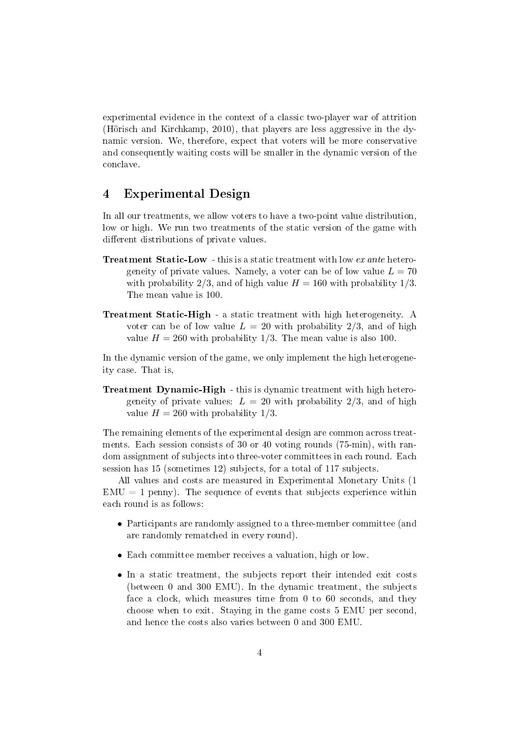experimental evidence in the context of a classic two-player war of attrition (Hörisch and Kirchkamp, 2010), that players are less aggressive in the dynamic version. We, therefore, expect that voters will be more conservative and consequently waiting costs will be smaller in the dynamic version of the conclave.

#### 4 Experimental Design

In all our treatments, we allow voters to have a two-point value distribution, low or high. We run two treatments of the static version of the game with different distributions of private values.

- **Treatment Static-Low** this is a static treatment with low ex ante heterogeneity of private values. Namely, a voter can be of low value  $L = 70$ with probability 2/3, and of high value  $H = 160$  with probability 1/3. The mean value is 100.
- Treatment Static-High a static treatment with high heterogeneity. A voter can be of low value  $L = 20$  with probability  $2/3$ , and of high value  $H = 260$  with probability 1/3. The mean value is also 100.

In the dynamic version of the game, we only implement the high heterogeneity case. That is,

Treatment Dynamic-High - this is dynamic treatment with high heterogeneity of private values:  $L = 20$  with probability 2/3, and of high value  $H = 260$  with probability  $1/3$ .

The remaining elements of the experimental design are common across treatments. Each session consists of 30 or 40 voting rounds (75-min), with random assignment of subjects into three-voter committees in each round. Each session has 15 (sometimes 12) subjects, for a total of 117 subjects.

All values and costs are measured in Experimental Monetary Units (1  $EMU = 1$  penny). The sequence of events that subjects experience within each round is as follows:

- Participants are randomly assigned to a three-member committee (and are randomly rematched in every round).
- Each committee member receives a valuation, high or low.
- In a static treatment, the subjects report their intended exit costs (between 0 and 300 EMU). In the dynamic treatment, the subjects face a clock, which measures time from 0 to 60 seconds, and they choose when to exit. Staying in the game costs 5 EMU per second, and hence the costs also varies between 0 and 300 EMU.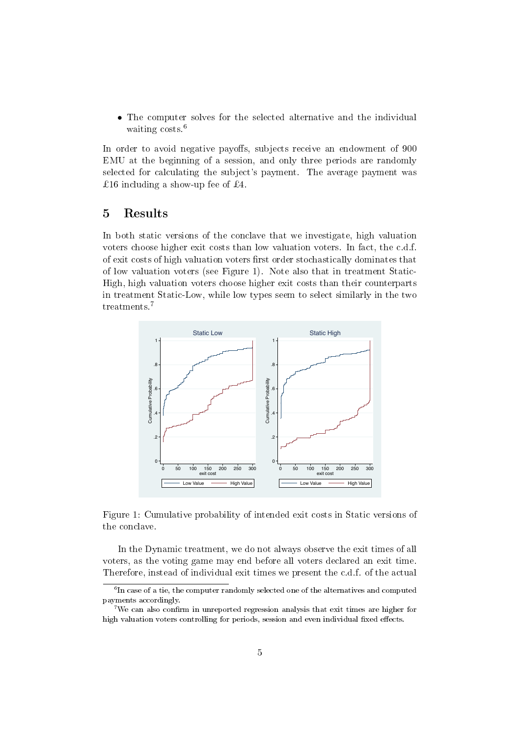• The computer solves for the selected alternative and the individual waiting costs.<sup>6</sup>

In order to avoid negative payoffs, subjects receive an endowment of 900 EMU at the beginning of a session, and only three periods are randomly selected for calculating the subject's payment. The average payment was £16 including a show-up fee of £4.

#### 5 Results

In both static versions of the conclave that we investigate, high valuation voters choose higher exit costs than low valuation voters. In fact, the c.d.f. of exit costs of high valuation voters first order stochastically dominates that of low valuation voters (see Figure 1). Note also that in treatment Static-High, high valuation voters choose higher exit costs than their counterparts in treatment Static-Low, while low types seem to select similarly in the two treatments.<sup>7</sup>



Figure 1: Cumulative probability of intended exit costs in Static versions of the conclave.

In the Dynamic treatment, we do not always observe the exit times of all voters, as the voting game may end before all voters declared an exit time. Therefore, instead of individual exit times we present the c.d.f. of the actual

 $^6$ In case of a tie, the computer randomly selected one of the alternatives and computed payments accordingly.

<sup>&</sup>lt;sup>7</sup>We can also confirm in unreported regression analysis that exit times are higher for high valuation voters controlling for periods, session and even individual fixed effects.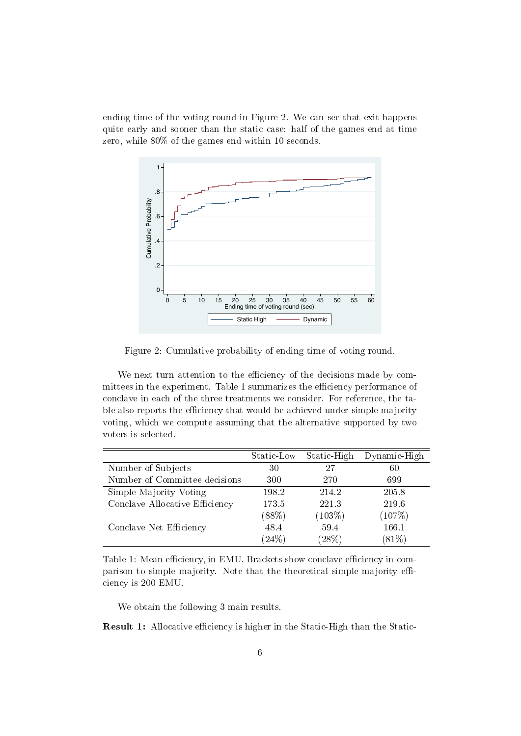ending time of the voting round in Figure 2. We can see that exit happens quite early and sooner than the static case: half of the games end at time zero, while 80% of the games end within 10 seconds.



Figure 2: Cumulative probability of ending time of voting round.

We next turn attention to the efficiency of the decisions made by committees in the experiment. Table 1 summarizes the efficiency performance of conclave in each of the three treatments we consider. For reference, the table also reports the efficiency that would be achieved under simple majority voting, which we compute assuming that the alternative supported by two voters is selected.

|                                | Static-Low | Static-High | Dynamic-High |
|--------------------------------|------------|-------------|--------------|
| Number of Subjects             | 30         | 27          | 60           |
| Number of Committee decisions  | 300        | 270         | 699          |
| Simple Majority Voting         | 198.2      | 214.2       | 205.8        |
| Conclave Allocative Efficiency | 173.5      | 221.3       | 219.6        |
|                                | (88%)      | $(103\%)$   | (107%)       |
| Conclave Net Efficiency        | 48.4       | 59.4        | 166.1        |
|                                | $(24\%)$   | (28%)       | (81%)        |

Table 1: Mean efficiency, in EMU. Brackets show conclave efficiency in comparison to simple majority. Note that the theoretical simple majority efficiency is 200 EMU.

We obtain the following 3 main results.

**Result 1:** Allocative efficiency is higher in the Static-High than the Static-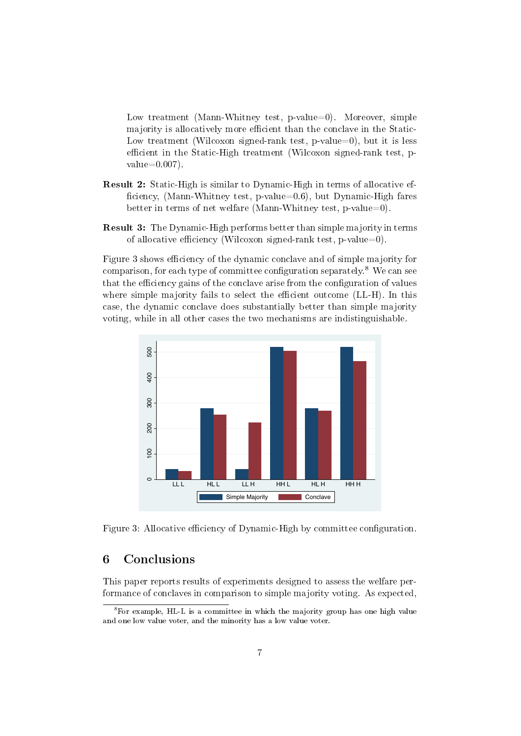Low treatment (Mann-Whitney test, p-value=0). Moreover, simple majority is allocatively more efficient than the conclave in the Static-Low treatment (Wilcoxon signed-rank test,  $p$ -value=0), but it is less efficient in the Static-High treatment (Wilcoxon signed-rank test, p $value=0.007$ .

- Result 2: Static-High is similar to Dynamic-High in terms of allocative ef ficiency, (Mann-Whitney test, p-value=0.6), but Dynamic-High fares better in terms of net welfare (Mann-Whitney test, p-value=0).
- Result 3: The Dynamic-High performs better than simple majority in terms of allocative efficiency (Wilcoxon signed-rank test, p-value=0).

Figure 3 shows efficiency of the dynamic conclave and of simple majority for comparison, for each type of committee configuration separately.<sup>8</sup> We can see that the efficiency gains of the conclave arise from the configuration of values where simple majority fails to select the efficient outcome (LL-H). In this case, the dynamic conclave does substantially better than simple majority voting, while in all other cases the two mechanisms are indistinguishable.



Figure 3: Allocative efficiency of Dynamic-High by committee configuration.

#### 6 Conclusions

This paper reports results of experiments designed to assess the welfare performance of conclaves in comparison to simple majority voting. As expected,

<sup>8</sup>For example, HL-L is a committee in which the majority group has one high value and one low value voter, and the minority has a low value voter.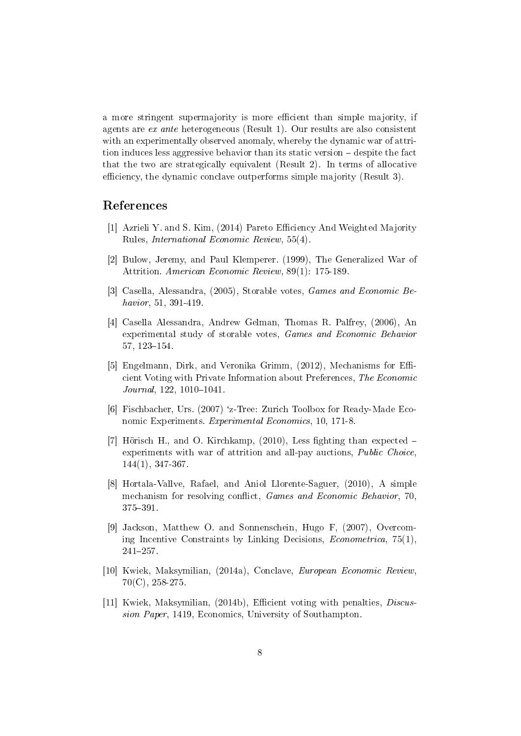a more stringent supermajority is more efficient than simple majority, if agents are ex ante heterogeneous (Result 1). Our results are also consistent with an experimentally observed anomaly, whereby the dynamic war of attrition induces less aggressive behavior than its static version – despite the fact that the two are strategically equivalent (Result 2). In terms of allocative efficiency, the dynamic conclave outperforms simple majority (Result 3).

#### References

- [1] Azrieli Y. and S. Kim, (2014) Pareto Eciency And Weighted Majority Rules, International Economic Review, 55(4).
- [2] Bulow, Jeremy, and Paul Klemperer. (1999), The Generalized War of Attrition. American Economic Review, 89(1): 175-189.
- [3] Casella, Alessandra, (2005), Storable votes, Games and Economic Behavior, 51, 391-419.
- [4] Casella Alessandra, Andrew Gelman, Thomas R. Palfrey, (2006), An experimental study of storable votes, Games and Economic Behavior  $57, 123 - 154.$
- [5] Engelmann, Dirk, and Veronika Grimm,  $(2012)$ , Mechanisms for Efficient Voting with Private Information about Preferences, The Economic  $Journal, 122, 1010-1041.$
- [6] Fischbacher, Urs. (2007) `z-Tree: Zurich Toolbox for Ready-Made Economic Experiments. Experimental Economics, 10, 171-8.
- [7] Hörisch H., and O. Kirchkamp,  $(2010)$ , Less fighting than expected  $$ experiments with war of attrition and all-pay auctions, Public Choice, 144(1), 347-367.
- [8] Hortala-Vallve, Rafael, and Aniol Llorente-Saguer, (2010), A simple mechanism for resolving conflict, *Games and Economic Behavior*, 70, 375-391.
- [9] Jackson, Matthew O. and Sonnenschein, Hugo F, (2007), Overcoming Incentive Constraints by Linking Decisions, Econometrica, 75(1), 241257.
- [10] Kwiek, Maksymilian, (2014a), Conclave, European Economic Review, 70(C), 258-275.
- [11] Kwiek, Maksymilian, (2014b), Efficient voting with penalties, *Discus*sion Paper, 1419, Economics, University of Southampton.